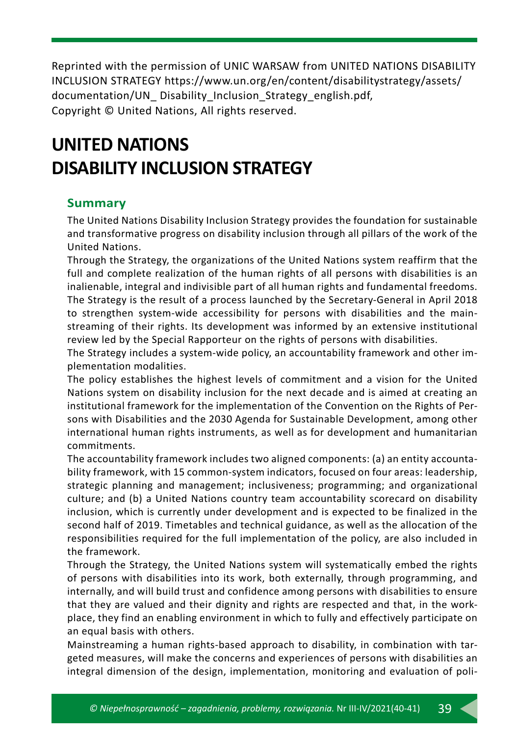Reprinted with the permission of UNIC WARSAW from UNITED NATIONS DISABILITY INCLUSION STRATEGY https://www.un.org/en/content/disabilitystrategy/assets/ documentation/UN Disability Inclusion Strategy english.pdf, Copyright © United Nations, All rights reserved.

# **UNITED NATIONS DISABILITY INCLUSION STRATEGY**

#### **Summary**

The United Nations Disability Inclusion Strategy provides the foundation for sustainable and transformative progress on disability inclusion through all pillars of the work of the United Nations.

Through the Strategy, the organizations of the United Nations system reaffirm that the full and complete realization of the human rights of all persons with disabilities is an inalienable, integral and indivisible part of all human rights and fundamental freedoms. The Strategy is the result of a process launched by the Secretary-General in April 2018 to strengthen system-wide accessibility for persons with disabilities and the mainstreaming of their rights. Its development was informed by an extensive institutional review led by the Special Rapporteur on the rights of persons with disabilities.

The Strategy includes a system-wide policy, an accountability framework and other implementation modalities.

The policy establishes the highest levels of commitment and a vision for the United Nations system on disability inclusion for the next decade and is aimed at creating an institutional framework for the implementation of the Convention on the Rights of Persons with Disabilities and the 2030 Agenda for Sustainable Development, among other international human rights instruments, as well as for development and humanitarian commitments.

The accountability framework includes two aligned components: (a) an entity accountability framework, with 15 common-system indicators, focused on four areas: leadership, strategic planning and management; inclusiveness; programming; and organizational culture; and (b) a United Nations country team accountability scorecard on disability inclusion, which is currently under development and is expected to be finalized in the second half of 2019. Timetables and technical guidance, as well as the allocation of the responsibilities required for the full implementation of the policy, are also included in the framework.

Through the Strategy, the United Nations system will systematically embed the rights of persons with disabilities into its work, both externally, through programming, and internally, and will build trust and confidence among persons with disabilities to ensure that they are valued and their dignity and rights are respected and that, in the workplace, they find an enabling environment in which to fully and effectively participate on an equal basis with others.

Mainstreaming a human rights-based approach to disability, in combination with targeted measures, will make the concerns and experiences of persons with disabilities an integral dimension of the design, implementation, monitoring and evaluation of poli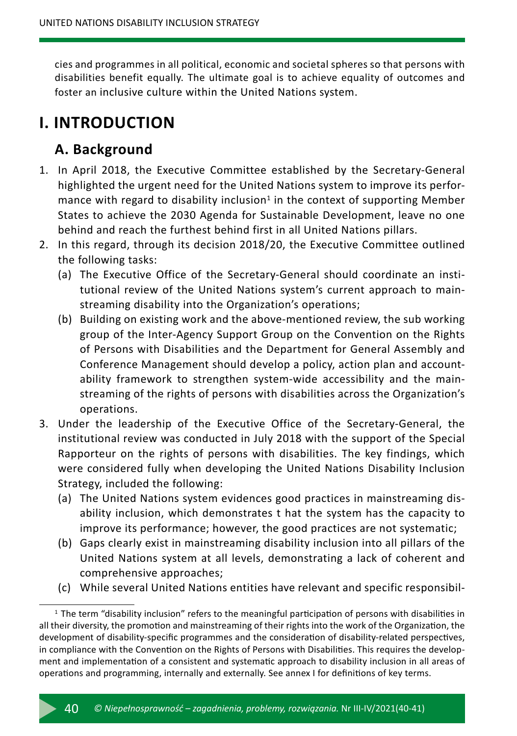cies and programmes in all political, economic and societal spheres so that persons with disabilities benefit equally. The ultimate goal is to achieve equality of outcomes and foster an inclusive culture within the United Nations system.

# **I. INTRODUCTION**

### **A. Background**

- 1. In April 2018, the Executive Committee established by the Secretary-General highlighted the urgent need for the United Nations system to improve its performance with regard to disability inclusion<sup>1</sup> in the context of supporting Member States to achieve the 2030 Agenda for Sustainable Development, leave no one behind and reach the furthest behind first in all United Nations pillars.
- 2. In this regard, through its decision 2018/20, the Executive Committee outlined the following tasks:
	- (a) The Executive Office of the Secretary-General should coordinate an institutional review of the United Nations system's current approach to mainstreaming disability into the Organization's operations;
	- (b) Building on existing work and the above-mentioned review, the sub working group of the Inter-Agency Support Group on the Convention on the Rights of Persons with Disabilities and the Department for General Assembly and Conference Management should develop a policy, action plan and accountability framework to strengthen system-wide accessibility and the mainstreaming of the rights of persons with disabilities across the Organization's operations.
- 3. Under the leadership of the Executive Office of the Secretary-General, the institutional review was conducted in July 2018 with the support of the Special Rapporteur on the rights of persons with disabilities. The key findings, which were considered fully when developing the United Nations Disability Inclusion Strategy, included the following:
	- (a) The United Nations system evidences good practices in mainstreaming disability inclusion, which demonstrates t hat the system has the capacity to improve its performance; however, the good practices are not systematic;
	- (b) Gaps clearly exist in mainstreaming disability inclusion into all pillars of the United Nations system at all levels, demonstrating a lack of coherent and comprehensive approaches;
	- (c) While several United Nations entities have relevant and specific responsibil-

 $1$  The term "disability inclusion" refers to the meaningful participation of persons with disabilities in all their diversity, the promotion and mainstreaming of their rights into the work of the Organization, the development of disability-specific programmes and the consideration of disability-related perspectives, in compliance with the Convention on the Rights of Persons with Disabilities. This requires the development and implementation of a consistent and systematic approach to disability inclusion in all areas of operations and programming, internally and externally. See annex I for definitions of key terms.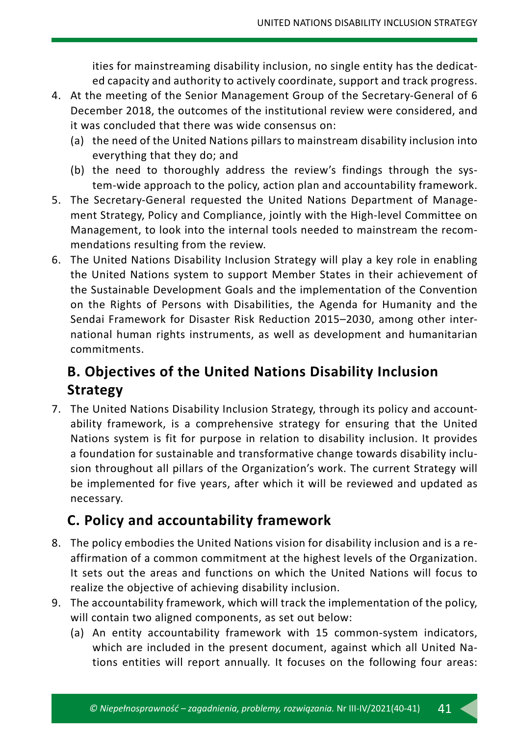ities for mainstreaming disability inclusion, no single entity has the dedicated capacity and authority to actively coordinate, support and track progress.

- 4. At the meeting of the Senior Management Group of the Secretary-General of 6 December 2018, the outcomes of the institutional review were considered, and it was concluded that there was wide consensus on:
	- (a) the need of the United Nations pillars to mainstream disability inclusion into everything that they do; and
	- (b) the need to thoroughly address the review's findings through the system-wide approach to the policy, action plan and accountability framework.
- 5. The Secretary-General requested the United Nations Department of Management Strategy, Policy and Compliance, jointly with the High-level Committee on Management, to look into the internal tools needed to mainstream the recommendations resulting from the review.
- 6. The United Nations Disability Inclusion Strategy will play a key role in enabling the United Nations system to support Member States in their achievement of the Sustainable Development Goals and the implementation of the Convention on the Rights of Persons with Disabilities, the Agenda for Humanity and the Sendai Framework for Disaster Risk Reduction 2015–2030, among other international human rights instruments, as well as development and humanitarian commitments.

## **B. Objectives of the United Nations Disability Inclusion Strategy**

7. The United Nations Disability Inclusion Strategy, through its policy and accountability framework, is a comprehensive strategy for ensuring that the United Nations system is fit for purpose in relation to disability inclusion. It provides a foundation for sustainable and transformative change towards disability inclusion throughout all pillars of the Organization's work. The current Strategy will be implemented for five years, after which it will be reviewed and updated as necessary.

### **C. Policy and accountability framework**

- 8. The policy embodies the United Nations vision for disability inclusion and is a reaffirmation of a common commitment at the highest levels of the Organization. It sets out the areas and functions on which the United Nations will focus to realize the objective of achieving disability inclusion.
- 9. The accountability framework, which will track the implementation of the policy, will contain two aligned components, as set out below:
	- (a) An entity accountability framework with 15 common-system indicators, which are included in the present document, against which all United Nations entities will report annually. It focuses on the following four areas: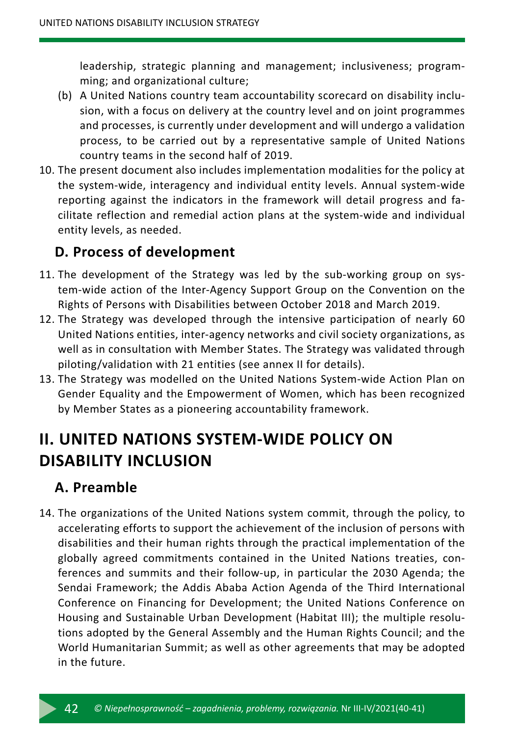leadership, strategic planning and management; inclusiveness; programming; and organizational culture;

- (b) A United Nations country team accountability scorecard on disability inclusion, with a focus on delivery at the country level and on joint programmes and processes, is currently under development and will undergo a validation process, to be carried out by a representative sample of United Nations country teams in the second half of 2019.
- 10. The present document also includes implementation modalities for the policy at the system-wide, interagency and individual entity levels. Annual system-wide reporting against the indicators in the framework will detail progress and facilitate reflection and remedial action plans at the system-wide and individual entity levels, as needed.

### **D. Process of development**

- 11. The development of the Strategy was led by the sub-working group on system-wide action of the Inter-Agency Support Group on the Convention on the Rights of Persons with Disabilities between October 2018 and March 2019.
- 12. The Strategy was developed through the intensive participation of nearly 60 United Nations entities, inter-agency networks and civil society organizations, as well as in consultation with Member States. The Strategy was validated through piloting/validation with 21 entities (see annex II for details).
- 13. The Strategy was modelled on the United Nations System-wide Action Plan on Gender Equality and the Empowerment of Women, which has been recognized by Member States as a pioneering accountability framework.

# **II. UNITED NATIONS SYSTEM-WIDE POLICY ON DISABILITY INCLUSION**

### **A. Preamble**

14. The organizations of the United Nations system commit, through the policy, to accelerating efforts to support the achievement of the inclusion of persons with disabilities and their human rights through the practical implementation of the globally agreed commitments contained in the United Nations treaties, conferences and summits and their follow-up, in particular the 2030 Agenda; the Sendai Framework; the Addis Ababa Action Agenda of the Third International Conference on Financing for Development; the United Nations Conference on Housing and Sustainable Urban Development (Habitat III); the multiple resolutions adopted by the General Assembly and the Human Rights Council; and the World Humanitarian Summit; as well as other agreements that may be adopted in the future.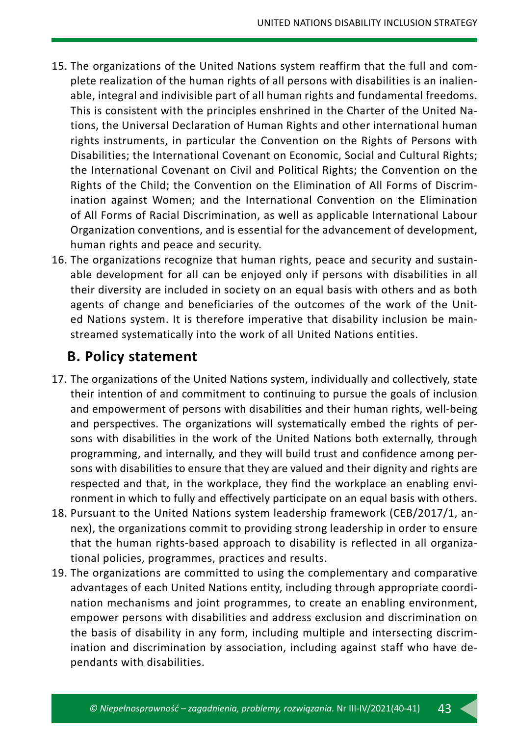- 15. The organizations of the United Nations system reaffirm that the full and complete realization of the human rights of all persons with disabilities is an inalienable, integral and indivisible part of all human rights and fundamental freedoms. This is consistent with the principles enshrined in the Charter of the United Nations, the Universal Declaration of Human Rights and other international human rights instruments, in particular the Convention on the Rights of Persons with Disabilities; the International Covenant on Economic, Social and Cultural Rights; the International Covenant on Civil and Political Rights; the Convention on the Rights of the Child; the Convention on the Elimination of All Forms of Discrimination against Women; and the International Convention on the Elimination of All Forms of Racial Discrimination, as well as applicable International Labour Organization conventions, and is essential for the advancement of development, human rights and peace and security.
- 16. The organizations recognize that human rights, peace and security and sustainable development for all can be enjoyed only if persons with disabilities in all their diversity are included in society on an equal basis with others and as both agents of change and beneficiaries of the outcomes of the work of the United Nations system. It is therefore imperative that disability inclusion be mainstreamed systematically into the work of all United Nations entities.

### **B. Policy statement**

- 17. The organizations of the United Nations system, individually and collectively, state their intention of and commitment to continuing to pursue the goals of inclusion and empowerment of persons with disabilities and their human rights, well-being and perspectives. The organizations will systematically embed the rights of persons with disabilities in the work of the United Nations both externally, through programming, and internally, and they will build trust and confidence among persons with disabilities to ensure that they are valued and their dignity and rights are respected and that, in the workplace, they find the workplace an enabling environment in which to fully and effectively participate on an equal basis with others.
- 18. Pursuant to the United Nations system leadership framework (CEB/2017/1, annex), the organizations commit to providing strong leadership in order to ensure that the human rights-based approach to disability is reflected in all organizational policies, programmes, practices and results.
- 19. The organizations are committed to using the complementary and comparative advantages of each United Nations entity, including through appropriate coordination mechanisms and joint programmes, to create an enabling environment, empower persons with disabilities and address exclusion and discrimination on the basis of disability in any form, including multiple and intersecting discrimination and discrimination by association, including against staff who have dependants with disabilities.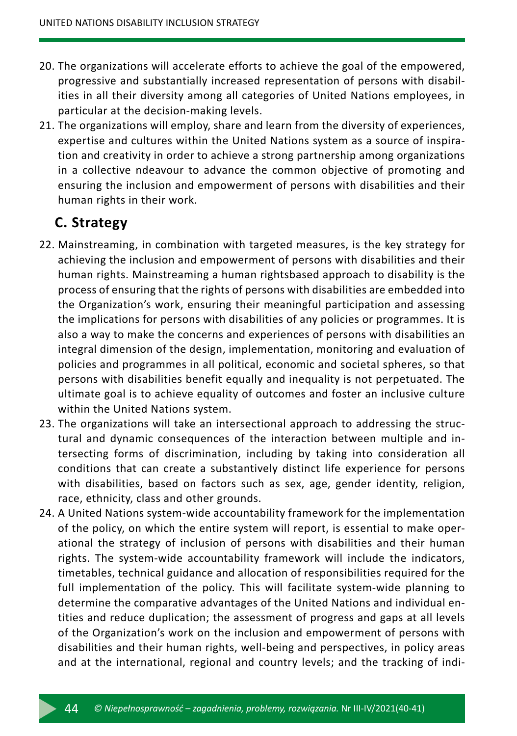- 20. The organizations will accelerate efforts to achieve the goal of the empowered, progressive and substantially increased representation of persons with disabilities in all their diversity among all categories of United Nations employees, in particular at the decision-making levels.
- 21. The organizations will employ, share and learn from the diversity of experiences, expertise and cultures within the United Nations system as a source of inspiration and creativity in order to achieve a strong partnership among organizations in a collective ndeavour to advance the common objective of promoting and ensuring the inclusion and empowerment of persons with disabilities and their human rights in their work.

#### **C. Strategy**

- 22. Mainstreaming, in combination with targeted measures, is the key strategy for achieving the inclusion and empowerment of persons with disabilities and their human rights. Mainstreaming a human rightsbased approach to disability is the process of ensuring that the rights of persons with disabilities are embedded into the Organization's work, ensuring their meaningful participation and assessing the implications for persons with disabilities of any policies or programmes. It is also a way to make the concerns and experiences of persons with disabilities an integral dimension of the design, implementation, monitoring and evaluation of policies and programmes in all political, economic and societal spheres, so that persons with disabilities benefit equally and inequality is not perpetuated. The ultimate goal is to achieve equality of outcomes and foster an inclusive culture within the United Nations system.
- 23. The organizations will take an intersectional approach to addressing the structural and dynamic consequences of the interaction between multiple and intersecting forms of discrimination, including by taking into consideration all conditions that can create a substantively distinct life experience for persons with disabilities, based on factors such as sex, age, gender identity, religion, race, ethnicity, class and other grounds.
- 24. A United Nations system-wide accountability framework for the implementation of the policy, on which the entire system will report, is essential to make operational the strategy of inclusion of persons with disabilities and their human rights. The system-wide accountability framework will include the indicators, timetables, technical guidance and allocation of responsibilities required for the full implementation of the policy. This will facilitate system-wide planning to determine the comparative advantages of the United Nations and individual entities and reduce duplication; the assessment of progress and gaps at all levels of the Organization's work on the inclusion and empowerment of persons with disabilities and their human rights, well-being and perspectives, in policy areas and at the international, regional and country levels; and the tracking of indi-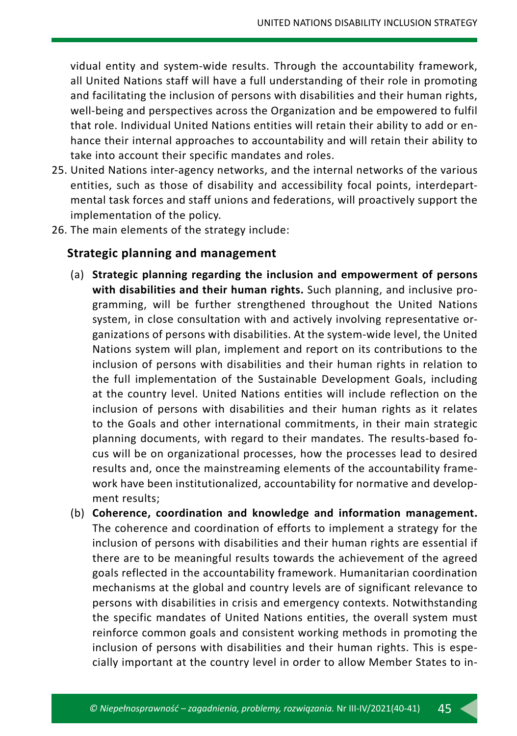vidual entity and system-wide results. Through the accountability framework, all United Nations staff will have a full understanding of their role in promoting and facilitating the inclusion of persons with disabilities and their human rights, well-being and perspectives across the Organization and be empowered to fulfil that role. Individual United Nations entities will retain their ability to add or enhance their internal approaches to accountability and will retain their ability to take into account their specific mandates and roles.

- 25. United Nations inter-agency networks, and the internal networks of the various entities, such as those of disability and accessibility focal points, interdepartmental task forces and staff unions and federations, will proactively support the implementation of the policy.
- 26. The main elements of the strategy include:

#### **Strategic planning and management**

- (a) **Strategic planning regarding the inclusion and empowerment of persons with disabilities and their human rights.** Such planning, and inclusive programming, will be further strengthened throughout the United Nations system, in close consultation with and actively involving representative organizations of persons with disabilities. At the system-wide level, the United Nations system will plan, implement and report on its contributions to the inclusion of persons with disabilities and their human rights in relation to the full implementation of the Sustainable Development Goals, including at the country level. United Nations entities will include reflection on the inclusion of persons with disabilities and their human rights as it relates to the Goals and other international commitments, in their main strategic planning documents, with regard to their mandates. The results-based focus will be on organizational processes, how the processes lead to desired results and, once the mainstreaming elements of the accountability framework have been institutionalized, accountability for normative and development results;
- (b) **Coherence, coordination and knowledge and information management.** The coherence and coordination of efforts to implement a strategy for the inclusion of persons with disabilities and their human rights are essential if there are to be meaningful results towards the achievement of the agreed goals reflected in the accountability framework. Humanitarian coordination mechanisms at the global and country levels are of significant relevance to persons with disabilities in crisis and emergency contexts. Notwithstanding the specific mandates of United Nations entities, the overall system must reinforce common goals and consistent working methods in promoting the inclusion of persons with disabilities and their human rights. This is especially important at the country level in order to allow Member States to in-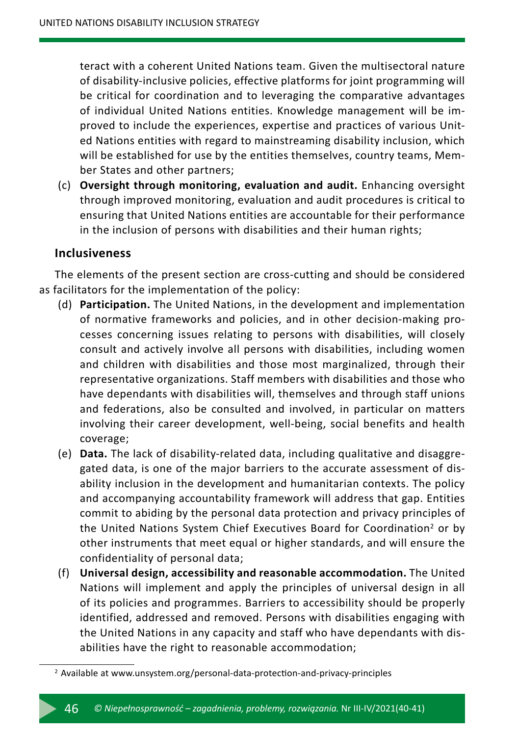teract with a coherent United Nations team. Given the multisectoral nature of disability-inclusive policies, effective platforms for joint programming will be critical for coordination and to leveraging the comparative advantages of individual United Nations entities. Knowledge management will be improved to include the experiences, expertise and practices of various United Nations entities with regard to mainstreaming disability inclusion, which will be established for use by the entities themselves, country teams, Member States and other partners;

(c) **Oversight through monitoring, evaluation and audit.** Enhancing oversight through improved monitoring, evaluation and audit procedures is critical to ensuring that United Nations entities are accountable for their performance in the inclusion of persons with disabilities and their human rights;

#### **Inclusiveness**

The elements of the present section are cross-cutting and should be considered as facilitators for the implementation of the policy:

- (d) **Participation.** The United Nations, in the development and implementation of normative frameworks and policies, and in other decision-making processes concerning issues relating to persons with disabilities, will closely consult and actively involve all persons with disabilities, including women and children with disabilities and those most marginalized, through their representative organizations. Staff members with disabilities and those who have dependants with disabilities will, themselves and through staff unions and federations, also be consulted and involved, in particular on matters involving their career development, well-being, social benefits and health coverage;
- (e) **Data.** The lack of disability-related data, including qualitative and disaggregated data, is one of the major barriers to the accurate assessment of disability inclusion in the development and humanitarian contexts. The policy and accompanying accountability framework will address that gap. Entities commit to abiding by the personal data protection and privacy principles of the United Nations System Chief Executives Board for Coordination<sup>2</sup> or by other instruments that meet equal or higher standards, and will ensure the confidentiality of personal data;
- (f) **Universal design, accessibility and reasonable accommodation.** The United Nations will implement and apply the principles of universal design in all of its policies and programmes. Barriers to accessibility should be properly identified, addressed and removed. Persons with disabilities engaging with the United Nations in any capacity and staff who have dependants with disabilities have the right to reasonable accommodation;

<sup>2</sup> Available at www.unsystem.org/personal-data-protection-and-privacy-principles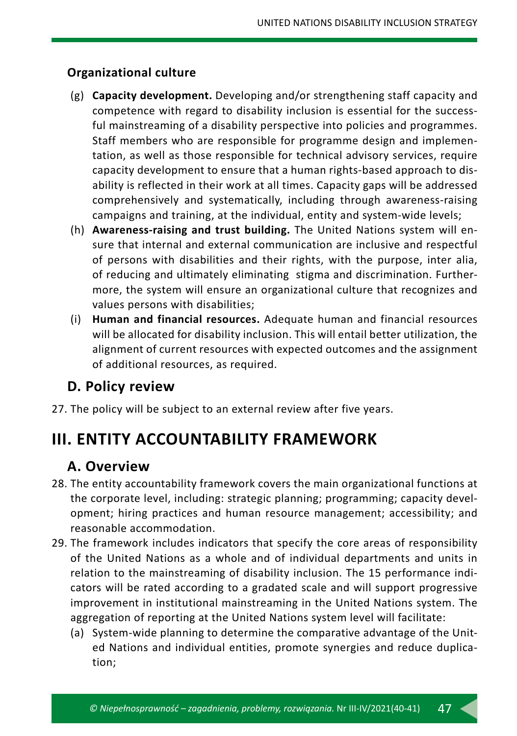#### **Organizational culture**

- (g) **Capacity development.** Developing and/or strengthening staff capacity and competence with regard to disability inclusion is essential for the successful mainstreaming of a disability perspective into policies and programmes. Staff members who are responsible for programme design and implementation, as well as those responsible for technical advisory services, require capacity development to ensure that a human rights-based approach to disability is reflected in their work at all times. Capacity gaps will be addressed comprehensively and systematically, including through awareness-raising campaigns and training, at the individual, entity and system-wide levels;
- (h) **Awareness-raising and trust building.** The United Nations system will ensure that internal and external communication are inclusive and respectful of persons with disabilities and their rights, with the purpose, inter alia, of reducing and ultimately eliminating stigma and discrimination. Furthermore, the system will ensure an organizational culture that recognizes and values persons with disabilities;
- (i) **Human and financial resources.** Adequate human and financial resources will be allocated for disability inclusion. This will entail better utilization, the alignment of current resources with expected outcomes and the assignment of additional resources, as required.

#### **D. Policy review**

27. The policy will be subject to an external review after five years.

# **III. ENTITY ACCOUNTABILITY FRAMEWORK**

#### **A. Overview**

- 28. The entity accountability framework covers the main organizational functions at the corporate level, including: strategic planning; programming; capacity development; hiring practices and human resource management; accessibility; and reasonable accommodation.
- 29. The framework includes indicators that specify the core areas of responsibility of the United Nations as a whole and of individual departments and units in relation to the mainstreaming of disability inclusion. The 15 performance indicators will be rated according to a gradated scale and will support progressive improvement in institutional mainstreaming in the United Nations system. The aggregation of reporting at the United Nations system level will facilitate:
	- (a) System-wide planning to determine the comparative advantage of the United Nations and individual entities, promote synergies and reduce duplication;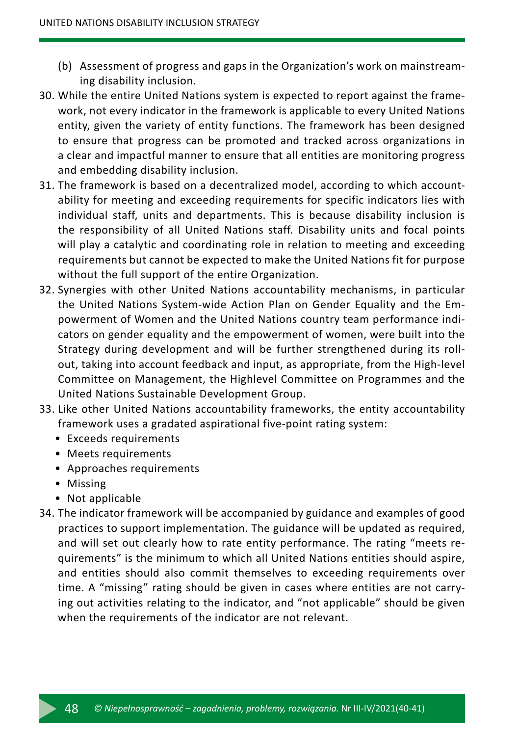- (b) Assessment of progress and gaps in the Organization's work on mainstreaming disability inclusion.
- 30. While the entire United Nations system is expected to report against the framework, not every indicator in the framework is applicable to every United Nations entity, given the variety of entity functions. The framework has been designed to ensure that progress can be promoted and tracked across organizations in a clear and impactful manner to ensure that all entities are monitoring progress and embedding disability inclusion.
- 31. The framework is based on a decentralized model, according to which accountability for meeting and exceeding requirements for specific indicators lies with individual staff, units and departments. This is because disability inclusion is the responsibility of all United Nations staff. Disability units and focal points will play a catalytic and coordinating role in relation to meeting and exceeding requirements but cannot be expected to make the United Nations fit for purpose without the full support of the entire Organization.
- 32. Synergies with other United Nations accountability mechanisms, in particular the United Nations System-wide Action Plan on Gender Equality and the Empowerment of Women and the United Nations country team performance indicators on gender equality and the empowerment of women, were built into the Strategy during development and will be further strengthened during its rollout, taking into account feedback and input, as appropriate, from the High-level Committee on Management, the Highlevel Committee on Programmes and the United Nations Sustainable Development Group.
- 33. Like other United Nations accountability frameworks, the entity accountability framework uses a gradated aspirational five-point rating system:
	- Exceeds requirements
	- Meets requirements
	- Approaches requirements
	- Missing
	- Not applicable
- 34. The indicator framework will be accompanied by guidance and examples of good practices to support implementation. The guidance will be updated as required, and will set out clearly how to rate entity performance. The rating "meets requirements" is the minimum to which all United Nations entities should aspire, and entities should also commit themselves to exceeding requirements over time. A "missing" rating should be given in cases where entities are not carrying out activities relating to the indicator, and "not applicable" should be given when the requirements of the indicator are not relevant.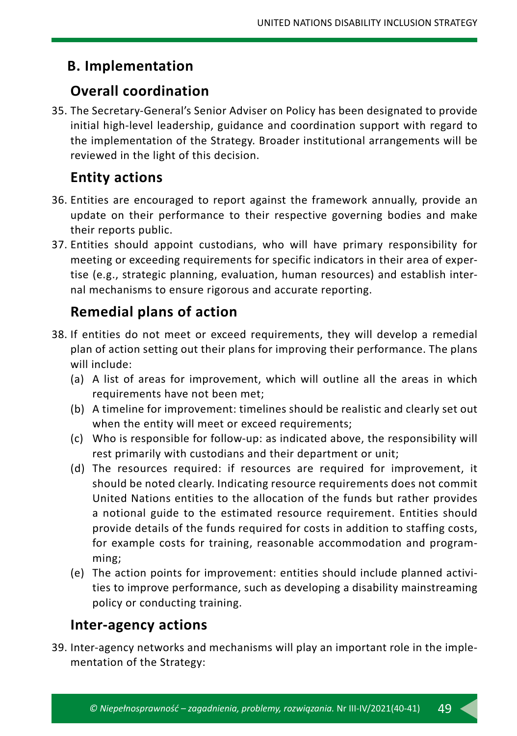## **B. Implementation**

### **Overall coordination**

35. The Secretary-General's Senior Adviser on Policy has been designated to provide initial high-level leadership, guidance and coordination support with regard to the implementation of the Strategy. Broader institutional arrangements will be reviewed in the light of this decision.

## **Entity actions**

- 36. Entities are encouraged to report against the framework annually, provide an update on their performance to their respective governing bodies and make their reports public.
- 37. Entities should appoint custodians, who will have primary responsibility for meeting or exceeding requirements for specific indicators in their area of expertise (e.g., strategic planning, evaluation, human resources) and establish internal mechanisms to ensure rigorous and accurate reporting.

# **Remedial plans of action**

- 38. If entities do not meet or exceed requirements, they will develop a remedial plan of action setting out their plans for improving their performance. The plans will include:
	- (a) A list of areas for improvement, which will outline all the areas in which requirements have not been met;
	- (b) A timeline for improvement: timelines should be realistic and clearly set out when the entity will meet or exceed requirements;
	- (c) Who is responsible for follow-up: as indicated above, the responsibility will rest primarily with custodians and their department or unit;
	- (d) The resources required: if resources are required for improvement, it should be noted clearly. Indicating resource requirements does not commit United Nations entities to the allocation of the funds but rather provides a notional guide to the estimated resource requirement. Entities should provide details of the funds required for costs in addition to staffing costs, for example costs for training, reasonable accommodation and programming;
	- (e) The action points for improvement: entities should include planned activities to improve performance, such as developing a disability mainstreaming policy or conducting training.

### **Inter-agency actions**

39. Inter-agency networks and mechanisms will play an important role in the implementation of the Strategy: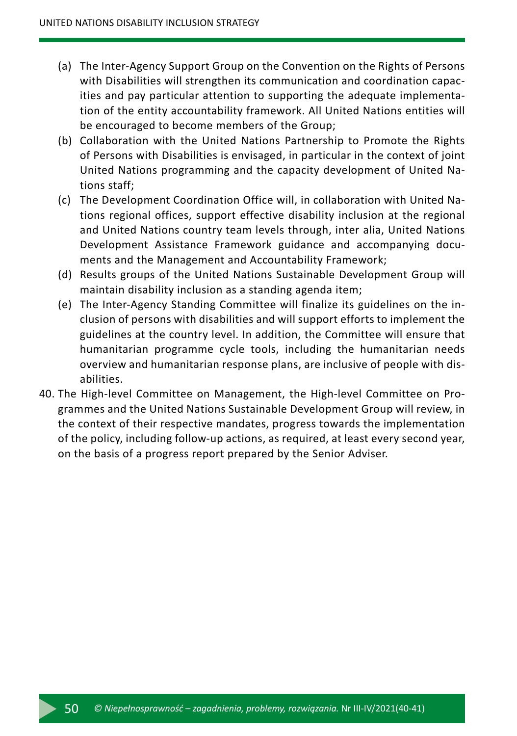- (a) The Inter-Agency Support Group on the Convention on the Rights of Persons with Disabilities will strengthen its communication and coordination capacities and pay particular attention to supporting the adequate implementation of the entity accountability framework. All United Nations entities will be encouraged to become members of the Group;
- (b) Collaboration with the United Nations Partnership to Promote the Rights of Persons with Disabilities is envisaged, in particular in the context of joint United Nations programming and the capacity development of United Nations staff;
- (c) The Development Coordination Office will, in collaboration with United Nations regional offices, support effective disability inclusion at the regional and United Nations country team levels through, inter alia, United Nations Development Assistance Framework guidance and accompanying documents and the Management and Accountability Framework;
- (d) Results groups of the United Nations Sustainable Development Group will maintain disability inclusion as a standing agenda item;
- (e) The Inter-Agency Standing Committee will finalize its guidelines on the inclusion of persons with disabilities and will support efforts to implement the guidelines at the country level. In addition, the Committee will ensure that humanitarian programme cycle tools, including the humanitarian needs overview and humanitarian response plans, are inclusive of people with disabilities.
- 40. The High-level Committee on Management, the High-level Committee on Programmes and the United Nations Sustainable Development Group will review, in the context of their respective mandates, progress towards the implementation of the policy, including follow-up actions, as required, at least every second year, on the basis of a progress report prepared by the Senior Adviser.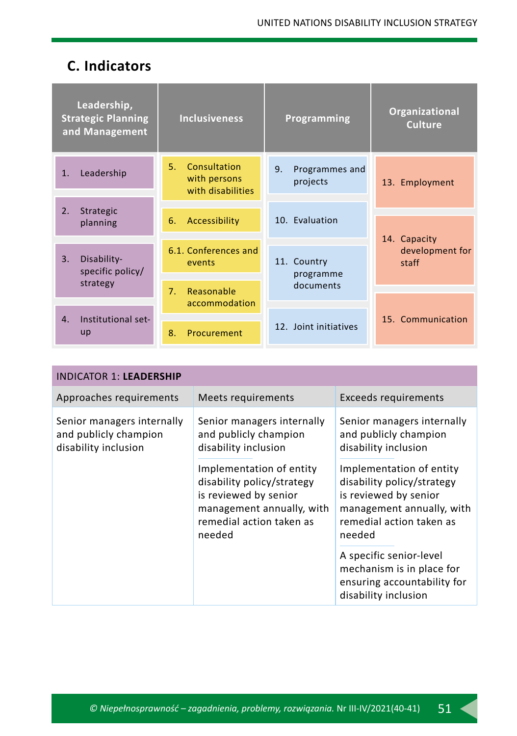## **C. Indicators**

|                      | Leadership,<br><b>Strategic Planning</b><br>and Management | <b>Inclusiveness</b>                                    | Programming                      | Organizational<br><b>Culture</b>         |
|----------------------|------------------------------------------------------------|---------------------------------------------------------|----------------------------------|------------------------------------------|
| $\mathbf{1}$ .       | Leadership                                                 | Consultation<br>5.<br>with persons<br>with disabilities | 9.<br>Programmes and<br>projects | 13. Employment                           |
| 2.<br>planning       | Strategic                                                  | Accessibility<br>6.                                     | 10. Evaluation                   |                                          |
| 3.                   | Disability-<br>specific policy/                            | 6.1. Conferences and<br>events                          | 11. Country<br>programme         | 14. Capacity<br>development for<br>staff |
| strategy             |                                                            | Reasonable<br>7 <sub>1</sub>                            | documents                        |                                          |
|                      |                                                            | accommodation                                           |                                  |                                          |
| $\mathbf{4}$ .<br>up | Institutional set-                                         | 8.<br>Procurement                                       | 12. Joint initiatives            | 15. Communication                        |

| <b>INDICATOR 1: LEADERSHIP</b>                                              |                                                                                                                                                    |                                                                                                                                                    |
|-----------------------------------------------------------------------------|----------------------------------------------------------------------------------------------------------------------------------------------------|----------------------------------------------------------------------------------------------------------------------------------------------------|
| Approaches requirements                                                     | Meets requirements                                                                                                                                 | Exceeds requirements                                                                                                                               |
| Senior managers internally<br>and publicly champion<br>disability inclusion | Senior managers internally<br>and publicly champion<br>disability inclusion                                                                        | Senior managers internally<br>and publicly champion<br>disability inclusion                                                                        |
|                                                                             | Implementation of entity<br>disability policy/strategy<br>is reviewed by senior<br>management annually, with<br>remedial action taken as<br>needed | Implementation of entity<br>disability policy/strategy<br>is reviewed by senior<br>management annually, with<br>remedial action taken as<br>needed |
|                                                                             |                                                                                                                                                    | A specific senior-level<br>mechanism is in place for<br>ensuring accountability for<br>disability inclusion                                        |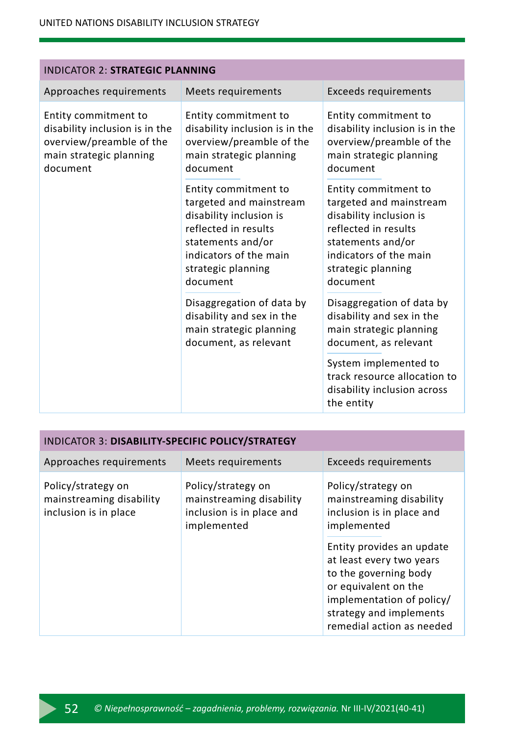| <b>INDICATOR 2: STRATEGIC PLANNING</b>                                                                                    |                                                                                                                                                                                     |                                                                                                                                                                                     |  |
|---------------------------------------------------------------------------------------------------------------------------|-------------------------------------------------------------------------------------------------------------------------------------------------------------------------------------|-------------------------------------------------------------------------------------------------------------------------------------------------------------------------------------|--|
| Approaches requirements                                                                                                   | Meets requirements                                                                                                                                                                  | <b>Exceeds requirements</b>                                                                                                                                                         |  |
| Entity commitment to<br>disability inclusion is in the<br>overview/preamble of the<br>main strategic planning<br>document | Entity commitment to<br>disability inclusion is in the<br>overview/preamble of the<br>main strategic planning<br>document                                                           | Entity commitment to<br>disability inclusion is in the<br>overview/preamble of the<br>main strategic planning<br>document                                                           |  |
|                                                                                                                           | Entity commitment to<br>targeted and mainstream<br>disability inclusion is<br>reflected in results<br>statements and/or<br>indicators of the main<br>strategic planning<br>document | Entity commitment to<br>targeted and mainstream<br>disability inclusion is<br>reflected in results<br>statements and/or<br>indicators of the main<br>strategic planning<br>document |  |
|                                                                                                                           | Disaggregation of data by<br>disability and sex in the<br>main strategic planning<br>document, as relevant                                                                          | Disaggregation of data by<br>disability and sex in the<br>main strategic planning<br>document, as relevant                                                                          |  |
|                                                                                                                           |                                                                                                                                                                                     | System implemented to<br>track resource allocation to<br>disability inclusion across<br>the entity                                                                                  |  |

| INDICATOR 3: DISABILITY-SPECIFIC POLICY/STRATEGY                        |                                                                                            |                                                                                                                                                                                             |  |
|-------------------------------------------------------------------------|--------------------------------------------------------------------------------------------|---------------------------------------------------------------------------------------------------------------------------------------------------------------------------------------------|--|
| Approaches requirements                                                 | Meets requirements                                                                         | <b>Exceeds requirements</b>                                                                                                                                                                 |  |
| Policy/strategy on<br>mainstreaming disability<br>inclusion is in place | Policy/strategy on<br>mainstreaming disability<br>inclusion is in place and<br>implemented | Policy/strategy on<br>mainstreaming disability<br>inclusion is in place and<br>implemented                                                                                                  |  |
|                                                                         |                                                                                            | Entity provides an update<br>at least every two years<br>to the governing body<br>or equivalent on the<br>implementation of policy/<br>strategy and implements<br>remedial action as needed |  |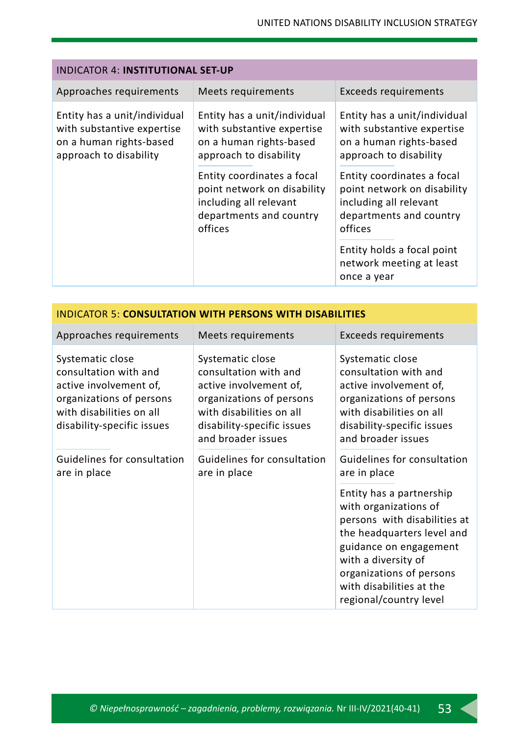| <b>INDICATOR 4: INSTITUTIONAL SET-UP</b>                                                                        |                                                                                                                                                                                                                                              |                                                                                                                                                                                                                                              |  |
|-----------------------------------------------------------------------------------------------------------------|----------------------------------------------------------------------------------------------------------------------------------------------------------------------------------------------------------------------------------------------|----------------------------------------------------------------------------------------------------------------------------------------------------------------------------------------------------------------------------------------------|--|
| Approaches requirements                                                                                         | Meets requirements                                                                                                                                                                                                                           | <b>Exceeds requirements</b>                                                                                                                                                                                                                  |  |
| Entity has a unit/individual<br>with substantive expertise<br>on a human rights-based<br>approach to disability | Entity has a unit/individual<br>with substantive expertise<br>on a human rights-based<br>approach to disability<br>Entity coordinates a focal<br>point network on disability<br>including all relevant<br>departments and country<br>offices | Entity has a unit/individual<br>with substantive expertise<br>on a human rights-based<br>approach to disability<br>Entity coordinates a focal<br>point network on disability<br>including all relevant<br>departments and country<br>offices |  |
|                                                                                                                 |                                                                                                                                                                                                                                              | Entity holds a focal point<br>network meeting at least<br>once a year                                                                                                                                                                        |  |

| Approaches requirements                                                                                                                                   | Meets requirements                                                                                                                                                              | Exceeds requirements                                                                                                                                                            |
|-----------------------------------------------------------------------------------------------------------------------------------------------------------|---------------------------------------------------------------------------------------------------------------------------------------------------------------------------------|---------------------------------------------------------------------------------------------------------------------------------------------------------------------------------|
| Systematic close<br>consultation with and<br>active involvement of,<br>organizations of persons<br>with disabilities on all<br>disability-specific issues | Systematic close<br>consultation with and<br>active involvement of,<br>organizations of persons<br>with disabilities on all<br>disability-specific issues<br>and broader issues | Systematic close<br>consultation with and<br>active involvement of,<br>organizations of persons<br>with disabilities on all<br>disability-specific issues<br>and broader issues |
| Guidelines for consultation<br>are in place                                                                                                               | Guidelines for consultation<br>are in place                                                                                                                                     | Guidelines for consultation<br>are in place                                                                                                                                     |
|                                                                                                                                                           |                                                                                                                                                                                 | Entity has a partnership                                                                                                                                                        |

INDICATOR 5: **CONSULTATION WITH PERSONS WITH DISABILITIES**

Entity has a partnership with organizations of persons with disabilities at the headquarters level and guidance on engagement with a diversity of organizations of persons with disabilities at the regional/country level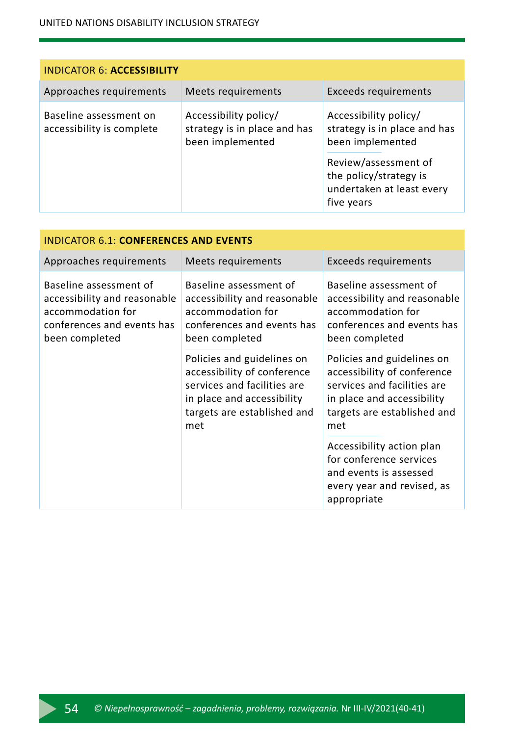#### UNITED NATIONS DISABILITY INCLUSION STRATEGY

| <b>INDICATOR 6: ACCESSIBILITY</b>                   |                                                                           |                                                                                                                                                                        |  |
|-----------------------------------------------------|---------------------------------------------------------------------------|------------------------------------------------------------------------------------------------------------------------------------------------------------------------|--|
| Approaches requirements                             | Meets requirements                                                        | Exceeds requirements                                                                                                                                                   |  |
| Baseline assessment on<br>accessibility is complete | Accessibility policy/<br>strategy is in place and has<br>been implemented | Accessibility policy/<br>strategy is in place and has<br>been implemented<br>Review/assessment of<br>the policy/strategy is<br>undertaken at least every<br>five years |  |

| INDICATOR 6.1: CONFERENCES AND EVENTS                                                                                       |                                                                                                                                                              |                                                                                                                                                              |  |
|-----------------------------------------------------------------------------------------------------------------------------|--------------------------------------------------------------------------------------------------------------------------------------------------------------|--------------------------------------------------------------------------------------------------------------------------------------------------------------|--|
| Approaches requirements                                                                                                     | Meets requirements                                                                                                                                           | Exceeds requirements                                                                                                                                         |  |
| Baseline assessment of<br>accessibility and reasonable<br>accommodation for<br>conferences and events has<br>been completed | Baseline assessment of<br>accessibility and reasonable<br>accommodation for<br>conferences and events has<br>been completed                                  | Baseline assessment of<br>accessibility and reasonable<br>accommodation for<br>conferences and events has<br>been completed                                  |  |
|                                                                                                                             | Policies and guidelines on<br>accessibility of conference<br>services and facilities are<br>in place and accessibility<br>targets are established and<br>met | Policies and guidelines on<br>accessibility of conference<br>services and facilities are<br>in place and accessibility<br>targets are established and<br>met |  |
|                                                                                                                             |                                                                                                                                                              | Accessibility action plan<br>for conference services<br>and events is assessed<br>every year and revised, as<br>appropriate                                  |  |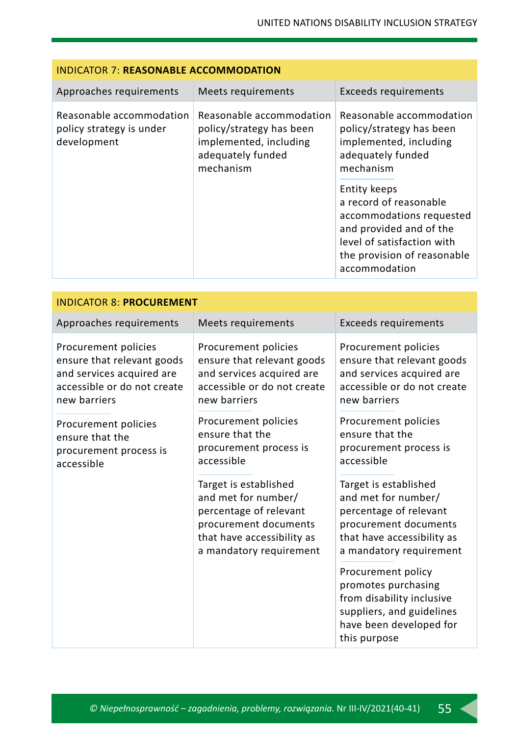| <b>INDICATOR 7: REASONABLE ACCOMMODATION</b>                        |                                                                                                                  |                                                                                                                                                                             |  |
|---------------------------------------------------------------------|------------------------------------------------------------------------------------------------------------------|-----------------------------------------------------------------------------------------------------------------------------------------------------------------------------|--|
| Approaches requirements                                             | Meets requirements                                                                                               | Exceeds requirements                                                                                                                                                        |  |
| Reasonable accommodation<br>policy strategy is under<br>development | Reasonable accommodation<br>policy/strategy has been<br>implemented, including<br>adequately funded<br>mechanism | Reasonable accommodation<br>policy/strategy has been<br>implemented, including<br>adequately funded<br>mechanism                                                            |  |
|                                                                     |                                                                                                                  | Entity keeps<br>a record of reasonable<br>accommodations requested<br>and provided and of the<br>level of satisfaction with<br>the provision of reasonable<br>accommodation |  |

| <b>INDICATOR 8: PROCUREMENT</b>                                                                                                |                                                                                                                                                          |                                                                                                                                                          |  |
|--------------------------------------------------------------------------------------------------------------------------------|----------------------------------------------------------------------------------------------------------------------------------------------------------|----------------------------------------------------------------------------------------------------------------------------------------------------------|--|
| Approaches requirements                                                                                                        | Meets requirements                                                                                                                                       | <b>Exceeds requirements</b>                                                                                                                              |  |
| Procurement policies<br>ensure that relevant goods<br>and services acquired are<br>accessible or do not create<br>new barriers | Procurement policies<br>ensure that relevant goods<br>and services acquired are<br>accessible or do not create<br>new barriers                           | Procurement policies<br>ensure that relevant goods<br>and services acquired are<br>accessible or do not create<br>new barriers                           |  |
| Procurement policies<br>ensure that the<br>procurement process is<br>accessible                                                | Procurement policies<br>ensure that the<br>procurement process is<br>accessible                                                                          | Procurement policies<br>ensure that the<br>procurement process is<br>accessible                                                                          |  |
|                                                                                                                                | Target is established<br>and met for number/<br>percentage of relevant<br>procurement documents<br>that have accessibility as<br>a mandatory requirement | Target is established<br>and met for number/<br>percentage of relevant<br>procurement documents<br>that have accessibility as<br>a mandatory requirement |  |
|                                                                                                                                |                                                                                                                                                          | Procurement policy<br>promotes purchasing<br>from disability inclusive<br>suppliers, and guidelines<br>have been developed for<br>this purpose           |  |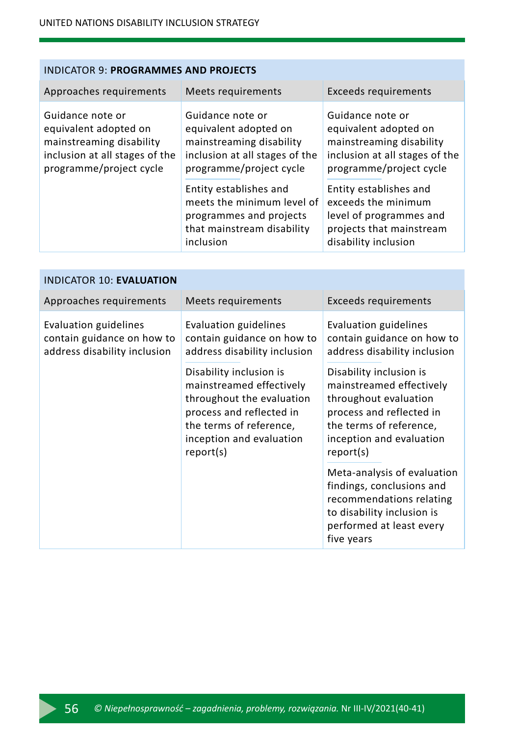| Approaches requirements                                                                                                            | Meets requirements                                                                                                                 | <b>Exceeds requirements</b>                                                                                                        |
|------------------------------------------------------------------------------------------------------------------------------------|------------------------------------------------------------------------------------------------------------------------------------|------------------------------------------------------------------------------------------------------------------------------------|
| Guidance note or<br>equivalent adopted on<br>mainstreaming disability<br>inclusion at all stages of the<br>programme/project cycle | Guidance note or<br>equivalent adopted on<br>mainstreaming disability<br>inclusion at all stages of the<br>programme/project cycle | Guidance note or<br>equivalent adopted on<br>mainstreaming disability<br>inclusion at all stages of the<br>programme/project cycle |
|                                                                                                                                    | Entity establishes and<br>meets the minimum level of<br>programmes and projects<br>that mainstream disability<br>inclusion         | Entity establishes and<br>exceeds the minimum<br>level of programmes and<br>projects that mainstream<br>disability inclusion       |

| <b>INDICATOR 10: EVALUATION</b>                                                     |                                                                                                                                                                                  |                                                                                                                                                                              |  |  |
|-------------------------------------------------------------------------------------|----------------------------------------------------------------------------------------------------------------------------------------------------------------------------------|------------------------------------------------------------------------------------------------------------------------------------------------------------------------------|--|--|
| Approaches requirements                                                             | Meets requirements                                                                                                                                                               | <b>Exceeds requirements</b>                                                                                                                                                  |  |  |
| Evaluation guidelines<br>contain guidance on how to<br>address disability inclusion | Evaluation guidelines<br>contain guidance on how to<br>address disability inclusion                                                                                              | Evaluation guidelines<br>contain guidance on how to<br>address disability inclusion                                                                                          |  |  |
|                                                                                     | Disability inclusion is<br>mainstreamed effectively<br>throughout the evaluation<br>process and reflected in<br>the terms of reference,<br>inception and evaluation<br>report(s) | Disability inclusion is<br>mainstreamed effectively<br>throughout evaluation<br>process and reflected in<br>the terms of reference,<br>inception and evaluation<br>report(s) |  |  |
|                                                                                     |                                                                                                                                                                                  | Meta-analysis of evaluation<br>findings, conclusions and<br>recommendations relating<br>to disability inclusion is<br>performed at least every<br>five years                 |  |  |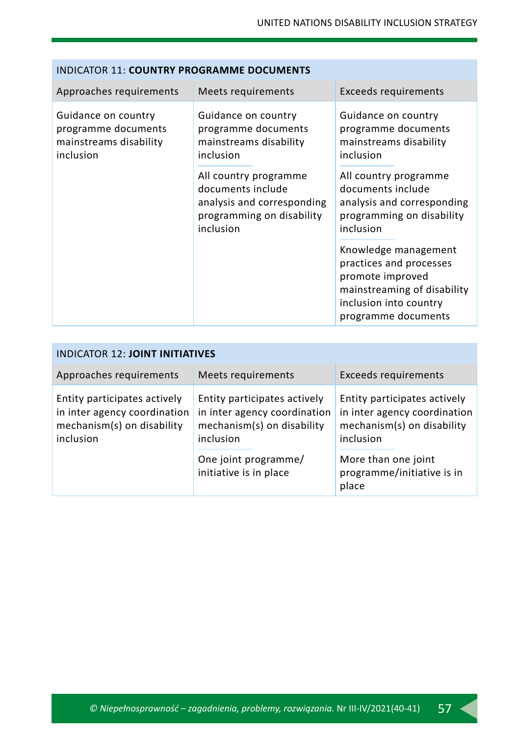#### INDICATOR 11: **COUNTRY PROGRAMME DOCUMENTS**

| Approaches requirements                                                           | Meets requirements                                                                                                 | Exceeds requirements                                                                                                                                |
|-----------------------------------------------------------------------------------|--------------------------------------------------------------------------------------------------------------------|-----------------------------------------------------------------------------------------------------------------------------------------------------|
| Guidance on country<br>programme documents<br>mainstreams disability<br>inclusion | Guidance on country<br>programme documents<br>mainstreams disability<br>inclusion                                  | Guidance on country<br>programme documents<br>mainstreams disability<br>inclusion                                                                   |
|                                                                                   | All country programme<br>documents include<br>analysis and corresponding<br>programming on disability<br>inclusion | All country programme<br>documents include<br>analysis and corresponding<br>programming on disability<br>inclusion                                  |
|                                                                                   |                                                                                                                    | Knowledge management<br>practices and processes<br>promote improved<br>mainstreaming of disability<br>inclusion into country<br>programme documents |

| <b>INDICATOR 12: JOINT INITIATIVES</b>                                                                  |                                                                                                                                                           |                                                                                                                                                                       |  |
|---------------------------------------------------------------------------------------------------------|-----------------------------------------------------------------------------------------------------------------------------------------------------------|-----------------------------------------------------------------------------------------------------------------------------------------------------------------------|--|
| Approaches requirements                                                                                 | Meets requirements                                                                                                                                        | Exceeds requirements                                                                                                                                                  |  |
| Entity participates actively<br>in inter agency coordination<br>mechanism(s) on disability<br>inclusion | Entity participates actively<br>in inter agency coordination<br>mechanism(s) on disability<br>inclusion<br>One joint programme/<br>initiative is in place | Entity participates actively<br>in inter agency coordination<br>mechanism(s) on disability<br>inclusion<br>More than one joint<br>programme/initiative is in<br>place |  |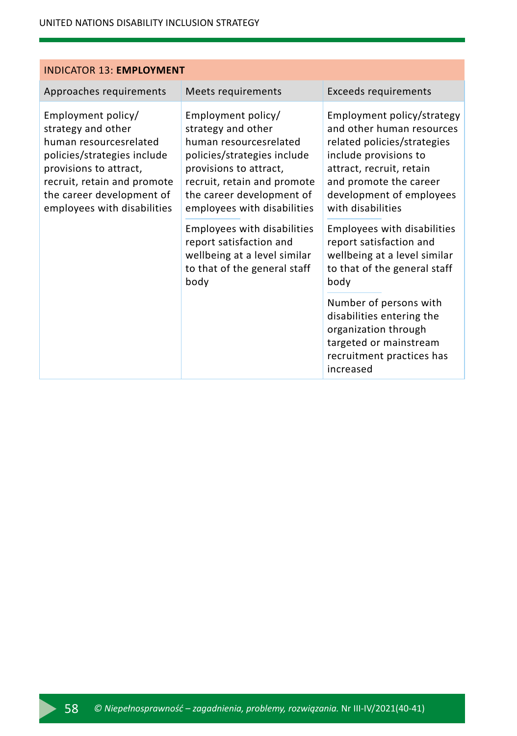| <b>INDICATOR 13: EMPLOYMENT</b>                                                                                                                                                                                        |                                                                                                                                                                                                                        |                                                                                                                                                                                                                        |  |  |
|------------------------------------------------------------------------------------------------------------------------------------------------------------------------------------------------------------------------|------------------------------------------------------------------------------------------------------------------------------------------------------------------------------------------------------------------------|------------------------------------------------------------------------------------------------------------------------------------------------------------------------------------------------------------------------|--|--|
| Approaches requirements                                                                                                                                                                                                | Meets requirements                                                                                                                                                                                                     | Exceeds requirements                                                                                                                                                                                                   |  |  |
| Employment policy/<br>strategy and other<br>human resourcesrelated<br>policies/strategies include<br>provisions to attract,<br>recruit, retain and promote<br>the career development of<br>employees with disabilities | Employment policy/<br>strategy and other<br>human resourcesrelated<br>policies/strategies include<br>provisions to attract,<br>recruit, retain and promote<br>the career development of<br>employees with disabilities | Employment policy/strategy<br>and other human resources<br>related policies/strategies<br>include provisions to<br>attract, recruit, retain<br>and promote the career<br>development of employees<br>with disabilities |  |  |
|                                                                                                                                                                                                                        | Employees with disabilities<br>report satisfaction and<br>wellbeing at a level similar<br>to that of the general staff<br>body                                                                                         | Employees with disabilities<br>report satisfaction and<br>wellbeing at a level similar<br>to that of the general staff<br>body                                                                                         |  |  |
|                                                                                                                                                                                                                        |                                                                                                                                                                                                                        | Number of persons with<br>disabilities entering the<br>organization through<br>targeted or mainstream<br>recruitment practices has<br>increased                                                                        |  |  |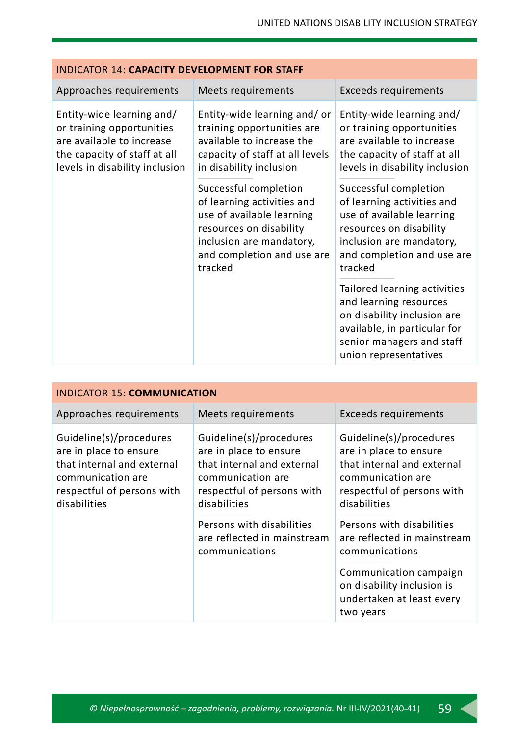| <b>INDICATOR 14: CAPACITY DEVELOPMENT FOR STAFF</b>                                                                                                   |                                                                                                                                                                                  |                                                                                                                                                                                  |  |
|-------------------------------------------------------------------------------------------------------------------------------------------------------|----------------------------------------------------------------------------------------------------------------------------------------------------------------------------------|----------------------------------------------------------------------------------------------------------------------------------------------------------------------------------|--|
| Approaches requirements                                                                                                                               | Meets requirements                                                                                                                                                               | <b>Exceeds requirements</b>                                                                                                                                                      |  |
| Entity-wide learning and/<br>or training opportunities<br>are available to increase<br>the capacity of staff at all<br>levels in disability inclusion | Entity-wide learning and/or<br>training opportunities are<br>available to increase the<br>capacity of staff at all levels<br>in disability inclusion                             | Entity-wide learning and/<br>or training opportunities<br>are available to increase<br>the capacity of staff at all<br>levels in disability inclusion                            |  |
|                                                                                                                                                       | Successful completion<br>of learning activities and<br>use of available learning<br>resources on disability<br>inclusion are mandatory,<br>and completion and use are<br>tracked | Successful completion<br>of learning activities and<br>use of available learning<br>resources on disability<br>inclusion are mandatory,<br>and completion and use are<br>tracked |  |
|                                                                                                                                                       |                                                                                                                                                                                  | Tailored learning activities<br>and learning resources<br>on disability inclusion are<br>available, in particular for<br>senior managers and staff<br>union representatives      |  |

| <b>INDICATOR 15: COMMUNICATION</b>                                                                                                                 |                                                                                                                                                    |                                                                                                                                                    |  |
|----------------------------------------------------------------------------------------------------------------------------------------------------|----------------------------------------------------------------------------------------------------------------------------------------------------|----------------------------------------------------------------------------------------------------------------------------------------------------|--|
| Approaches requirements                                                                                                                            | Meets requirements                                                                                                                                 | Exceeds requirements                                                                                                                               |  |
| Guideline(s)/procedures<br>are in place to ensure<br>that internal and external<br>communication are<br>respectful of persons with<br>disabilities | Guideline(s)/procedures<br>are in place to ensure<br>that internal and external<br>communication are<br>respectful of persons with<br>disabilities | Guideline(s)/procedures<br>are in place to ensure<br>that internal and external<br>communication are<br>respectful of persons with<br>disabilities |  |
|                                                                                                                                                    | Persons with disabilities<br>are reflected in mainstream<br>communications                                                                         | Persons with disabilities<br>are reflected in mainstream<br>communications                                                                         |  |
|                                                                                                                                                    |                                                                                                                                                    | Communication campaign<br>on disability inclusion is<br>undertaken at least every<br>two years                                                     |  |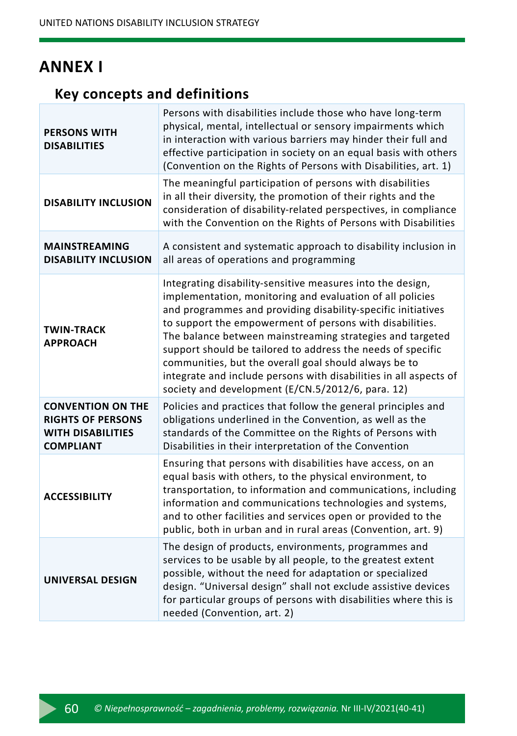### **ANNEX I**

#### **Key concepts and definitions**

| <b>PERSONS WITH</b><br><b>DISABILITIES</b>                                                           | Persons with disabilities include those who have long-term<br>physical, mental, intellectual or sensory impairments which<br>in interaction with various barriers may hinder their full and<br>effective participation in society on an equal basis with others<br>(Convention on the Rights of Persons with Disabilities, art. 1)                                                                                                                                                                                                                                 |
|------------------------------------------------------------------------------------------------------|--------------------------------------------------------------------------------------------------------------------------------------------------------------------------------------------------------------------------------------------------------------------------------------------------------------------------------------------------------------------------------------------------------------------------------------------------------------------------------------------------------------------------------------------------------------------|
| <b>DISABILITY INCLUSION</b>                                                                          | The meaningful participation of persons with disabilities<br>in all their diversity, the promotion of their rights and the<br>consideration of disability-related perspectives, in compliance<br>with the Convention on the Rights of Persons with Disabilities                                                                                                                                                                                                                                                                                                    |
| <b>MAINSTREAMING</b><br><b>DISABILITY INCLUSION</b>                                                  | A consistent and systematic approach to disability inclusion in<br>all areas of operations and programming                                                                                                                                                                                                                                                                                                                                                                                                                                                         |
| <b>TWIN-TRACK</b><br><b>APPROACH</b>                                                                 | Integrating disability-sensitive measures into the design,<br>implementation, monitoring and evaluation of all policies<br>and programmes and providing disability-specific initiatives<br>to support the empowerment of persons with disabilities.<br>The balance between mainstreaming strategies and targeted<br>support should be tailored to address the needs of specific<br>communities, but the overall goal should always be to<br>integrate and include persons with disabilities in all aspects of<br>society and development (E/CN.5/2012/6, para. 12) |
| <b>CONVENTION ON THE</b><br><b>RIGHTS OF PERSONS</b><br><b>WITH DISABILITIES</b><br><b>COMPLIANT</b> | Policies and practices that follow the general principles and<br>obligations underlined in the Convention, as well as the<br>standards of the Committee on the Rights of Persons with<br>Disabilities in their interpretation of the Convention                                                                                                                                                                                                                                                                                                                    |
| <b>ACCESSIBILITY</b>                                                                                 | Ensuring that persons with disabilities have access, on an<br>equal basis with others, to the physical environment, to<br>transportation, to information and communications, including<br>information and communications technologies and systems,<br>and to other facilities and services open or provided to the<br>public, both in urban and in rural areas (Convention, art. 9)                                                                                                                                                                                |
| <b>UNIVERSAL DESIGN</b>                                                                              | The design of products, environments, programmes and<br>services to be usable by all people, to the greatest extent<br>possible, without the need for adaptation or specialized<br>design. "Universal design" shall not exclude assistive devices<br>for particular groups of persons with disabilities where this is<br>needed (Convention, art. 2)                                                                                                                                                                                                               |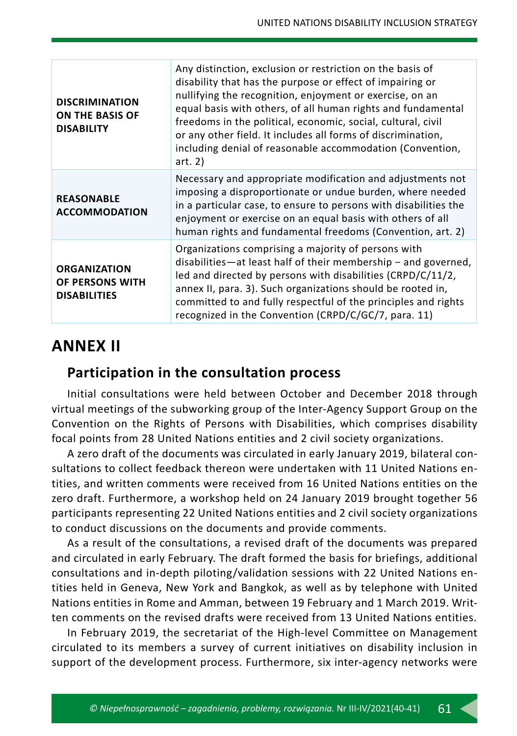| <b>DISCRIMINATION</b><br><b>ON THE BASIS OF</b><br><b>DISABILITY</b> | Any distinction, exclusion or restriction on the basis of<br>disability that has the purpose or effect of impairing or<br>nullifying the recognition, enjoyment or exercise, on an<br>equal basis with others, of all human rights and fundamental<br>freedoms in the political, economic, social, cultural, civil<br>or any other field. It includes all forms of discrimination,<br>including denial of reasonable accommodation (Convention,<br>art. $2)$ |
|----------------------------------------------------------------------|--------------------------------------------------------------------------------------------------------------------------------------------------------------------------------------------------------------------------------------------------------------------------------------------------------------------------------------------------------------------------------------------------------------------------------------------------------------|
| <b>REASONABLE</b><br><b>ACCOMMODATION</b>                            | Necessary and appropriate modification and adjustments not<br>imposing a disproportionate or undue burden, where needed<br>in a particular case, to ensure to persons with disabilities the<br>enjoyment or exercise on an equal basis with others of all<br>human rights and fundamental freedoms (Convention, art. 2)                                                                                                                                      |
| <b>ORGANIZATION</b><br>OF PERSONS WITH<br><b>DISABILITIES</b>        | Organizations comprising a majority of persons with<br>disabilities—at least half of their membership $-$ and governed,<br>led and directed by persons with disabilities (CRPD/C/11/2,<br>annex II, para. 3). Such organizations should be rooted in,<br>committed to and fully respectful of the principles and rights<br>recognized in the Convention (CRPD/C/GC/7, para. 11)                                                                              |

### **ANNEX II**

### **Participation in the consultation process**

Initial consultations were held between October and December 2018 through virtual meetings of the subworking group of the Inter-Agency Support Group on the Convention on the Rights of Persons with Disabilities, which comprises disability focal points from 28 United Nations entities and 2 civil society organizations.

A zero draft of the documents was circulated in early January 2019, bilateral consultations to collect feedback thereon were undertaken with 11 United Nations entities, and written comments were received from 16 United Nations entities on the zero draft. Furthermore, a workshop held on 24 January 2019 brought together 56 participants representing 22 United Nations entities and 2 civil society organizations to conduct discussions on the documents and provide comments.

As a result of the consultations, a revised draft of the documents was prepared and circulated in early February. The draft formed the basis for briefings, additional consultations and in-depth piloting/validation sessions with 22 United Nations entities held in Geneva, New York and Bangkok, as well as by telephone with United Nations entities in Rome and Amman, between 19 February and 1 March 2019. Written comments on the revised drafts were received from 13 United Nations entities.

In February 2019, the secretariat of the High-level Committee on Management circulated to its members a survey of current initiatives on disability inclusion in support of the development process. Furthermore, six inter-agency networks were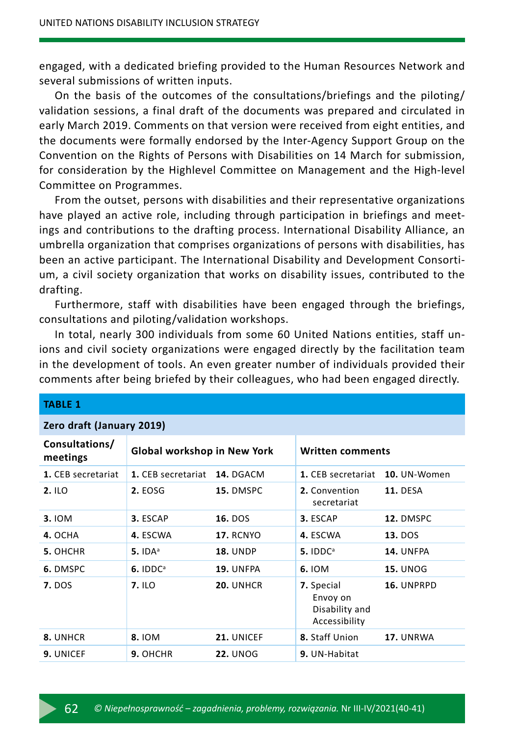engaged, with a dedicated briefing provided to the Human Resources Network and several submissions of written inputs.

On the basis of the outcomes of the consultations/briefings and the piloting/ validation sessions, a final draft of the documents was prepared and circulated in early March 2019. Comments on that version were received from eight entities, and the documents were formally endorsed by the Inter-Agency Support Group on the Convention on the Rights of Persons with Disabilities on 14 March for submission, for consideration by the Highlevel Committee on Management and the High-level Committee on Programmes.

From the outset, persons with disabilities and their representative organizations have played an active role, including through participation in briefings and meetings and contributions to the drafting process. International Disability Alliance, an umbrella organization that comprises organizations of persons with disabilities, has been an active participant. The International Disability and Development Consortium, a civil society organization that works on disability issues, contributed to the drafting.

Furthermore, staff with disabilities have been engaged through the briefings, consultations and piloting/validation workshops.

In total, nearly 300 individuals from some 60 United Nations entities, staff unions and civil society organizations were engaged directly by the facilitation team in the development of tools. An even greater number of individuals provided their comments after being briefed by their colleagues, who had been engaged directly.

| TABLE 1                    |                              |                  |                                                           |                 |
|----------------------------|------------------------------|------------------|-----------------------------------------------------------|-----------------|
| Zero draft (January 2019)  |                              |                  |                                                           |                 |
| Consultations/<br>meetings | Global workshop in New York  |                  | <b>Written comments</b>                                   |                 |
| 1. CEB secretariat         | 1. CEB secretariat 14. DGACM |                  | 1. CEB secretariat                                        | 10. UN-Women    |
| 2.1LO                      | 2. EOSG                      | 15. DMSPC        | 2. Convention<br>secretariat                              | <b>11. DESA</b> |
| 3.10M                      | 3. ESCAP                     | 16. DOS          | 3. ESCAP                                                  | 12. DMSPC       |
| 4. OCHA                    | 4. ESCWA                     | <b>17. RCNYO</b> | 4. ESCWA                                                  | <b>13.</b> DOS  |
| 5. OHCHR                   | $5.$ IDA <sup>a</sup>        | <b>18. UNDP</b>  | $5.$ IDD $C^a$                                            | 14. UNFPA       |
| 6. DMSPC                   | $6.$ IDD $C^a$               | 19. UNFPA        | 6. IOM                                                    | <b>15. UNOG</b> |
| <b>7.</b> DOS              | 7. ILO                       | 20. UNHCR        | 7. Special<br>Envoy on<br>Disability and<br>Accessibility | 16. UNPRPD      |
| 8. UNHCR                   | 8.10M                        | 21. UNICEF       | 8. Staff Union                                            | 17. UNRWA       |
| 9. UNICEF                  | 9. OHCHR                     | <b>22. UNOG</b>  | 9. UN-Habitat                                             |                 |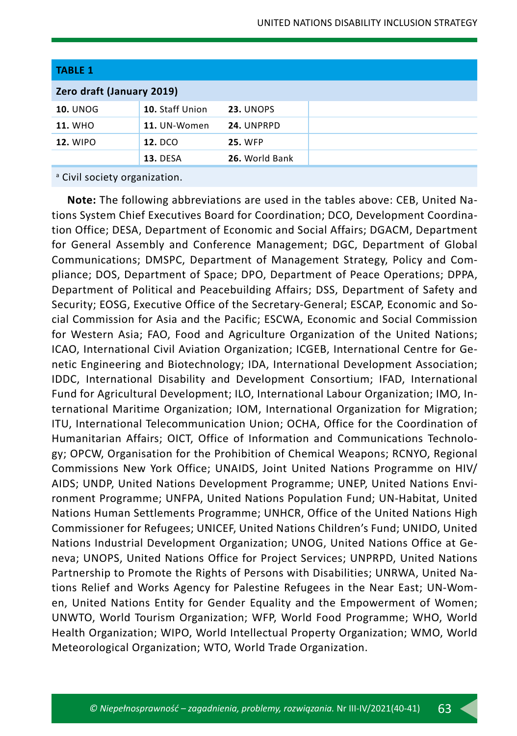| <b>TABLE 1</b>            |                 |                |
|---------------------------|-----------------|----------------|
| Zero draft (January 2019) |                 |                |
| <b>10. UNOG</b>           | 10. Staff Union | 23. UNOPS      |
| <b>11. WHO</b>            | 11. UN-Women    | 24. UNPRPD     |
| <b>12. WIPO</b>           | <b>12. DCO</b>  | <b>25. WFP</b> |
|                           | <b>13. DESA</b> | 26. World Bank |

<sup>a</sup> Civil society organization.

**Note:** The following abbreviations are used in the tables above: CEB, United Nations System Chief Executives Board for Coordination; DCO, Development Coordination Office; DESA, Department of Economic and Social Affairs; DGACM, Department for General Assembly and Conference Management; DGC, Department of Global Communications; DMSPC, Department of Management Strategy, Policy and Compliance; DOS, Department of Space; DPO, Department of Peace Operations; DPPA, Department of Political and Peacebuilding Affairs; DSS, Department of Safety and Security; EOSG, Executive Office of the Secretary-General; ESCAP, Economic and Social Commission for Asia and the Pacific; ESCWA, Economic and Social Commission for Western Asia; FAO, Food and Agriculture Organization of the United Nations; ICAO, International Civil Aviation Organization; ICGEB, International Centre for Genetic Engineering and Biotechnology; IDA, International Development Association; IDDC, International Disability and Development Consortium; IFAD, International Fund for Agricultural Development; ILO, International Labour Organization; IMO, International Maritime Organization; IOM, International Organization for Migration; ITU, International Telecommunication Union; OCHA, Office for the Coordination of Humanitarian Affairs; OICT, Office of Information and Communications Technology; OPCW, Organisation for the Prohibition of Chemical Weapons; RCNYO, Regional Commissions New York Office; UNAIDS, Joint United Nations Programme on HIV/ AIDS; UNDP, United Nations Development Programme; UNEP, United Nations Environment Programme; UNFPA, United Nations Population Fund; UN-Habitat, United Nations Human Settlements Programme; UNHCR, Office of the United Nations High Commissioner for Refugees; UNICEF, United Nations Children's Fund; UNIDO, United Nations Industrial Development Organization; UNOG, United Nations Office at Geneva; UNOPS, United Nations Office for Project Services; UNPRPD, United Nations Partnership to Promote the Rights of Persons with Disabilities; UNRWA, United Nations Relief and Works Agency for Palestine Refugees in the Near East; UN-Women, United Nations Entity for Gender Equality and the Empowerment of Women; UNWTO, World Tourism Organization; WFP, World Food Programme; WHO, World Health Organization; WIPO, World Intellectual Property Organization; WMO, World Meteorological Organization; WTO, World Trade Organization.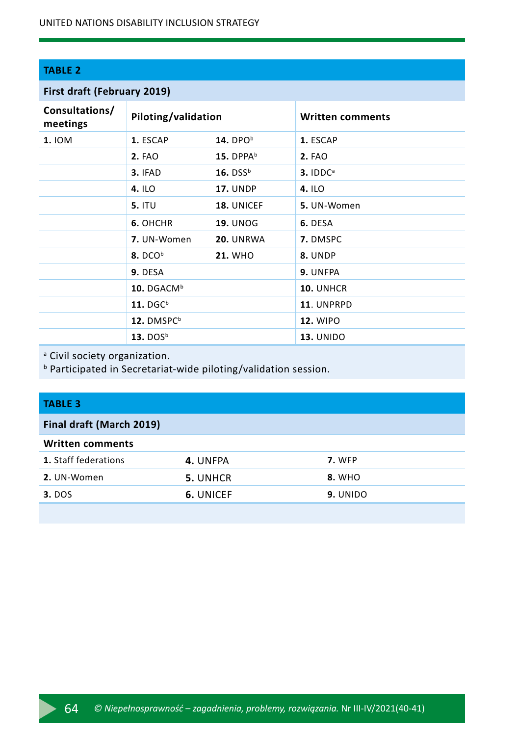#### **TABLE 2**

#### **First draft (February 2019)**

| Consultations/<br>meetings | Piloting/validation    |                        | <b>Written comments</b> |
|----------------------------|------------------------|------------------------|-------------------------|
| <b>1. IOM</b>              | 1. ESCAP               | 14. DPO $b$            | 1. ESCAP                |
|                            | <b>2. FAO</b>          | 15. DPP $A^b$          | <b>2. FAO</b>           |
|                            | 3. IFAD                | $16.$ DSS <sup>b</sup> | $3.1$ DD $Ca$           |
|                            | 4.1LO                  | <b>17. UNDP</b>        | 4. ILO                  |
|                            | <b>5. ITU</b>          | 18. UNICEF             | 5. UN-Women             |
|                            | 6. OHCHR               | <b>19. UNOG</b>        | 6. DESA                 |
|                            | 7. UN-Women            | 20. UNRWA              | 7. DMSPC                |
|                            | 8. DCO <sup>b</sup>    | <b>21. WHO</b>         | 8. UNDP                 |
|                            | 9. DESA                |                        | 9. UNFPA                |
|                            | 10. DGACM <sup>b</sup> |                        | 10. UNHCR               |
|                            | $11.$ DGC <sup>b</sup> |                        | 11. UNPRPD              |
|                            | 12. DMSPC <sup>b</sup> |                        | <b>12. WIPO</b>         |
|                            | 13. DOS $^{\rm b}$     |                        | <b>13. UNIDO</b>        |

<sup>a</sup> Civil society organization.

b Participated in Secretariat-wide piloting/validation session.

#### **TABLE 3**

#### **Final draft (March 2019)**

| <b>Written comments</b>     |                 |          |  |
|-----------------------------|-----------------|----------|--|
| <b>1.</b> Staff federations | 4. UNFPA        | 7. WFP   |  |
| 2. UN-Women                 | <b>5. UNHCR</b> | 8. WHO   |  |
| <b>3.</b> DOS               | 6. UNICEF       | 9. UNIDO |  |
|                             |                 |          |  |